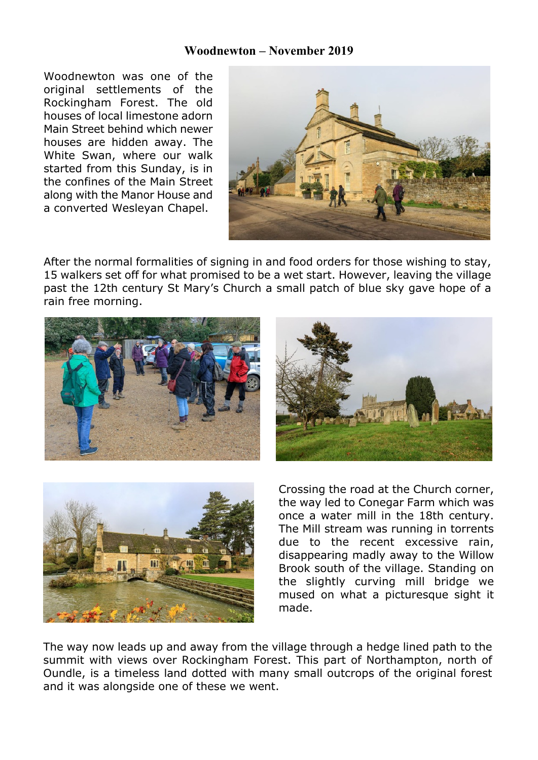## **Woodnewton – November 2019**

Woodnewton was one of the original settlements of the Rockingham Forest. The old houses of local limestone adorn Main Street behind which newer houses are hidden away. The White Swan, where our walk started from this Sunday, is in the confines of the Main Street along with the Manor House and a converted Wesleyan Chapel.



After the normal formalities of signing in and food orders for those wishing to stay, 15 walkers set off for what promised to be a wet start. However, leaving the village past the 12th century St Mary's Church a small patch of blue sky gave hope of a rain free morning.







Crossing the road at the Church corner, the way led to Conegar Farm which was once a water mill in the 18th century. The Mill stream was running in torrents due to the recent excessive rain, disappearing madly away to the Willow Brook south of the village. Standing on the slightly curving mill bridge we mused on what a picturesque sight it made.

The way now leads up and away from the village through a hedge lined path to the summit with views over Rockingham Forest. This part of Northampton, north of Oundle, is a timeless land dotted with many small outcrops of the original forest and it was alongside one of these we went.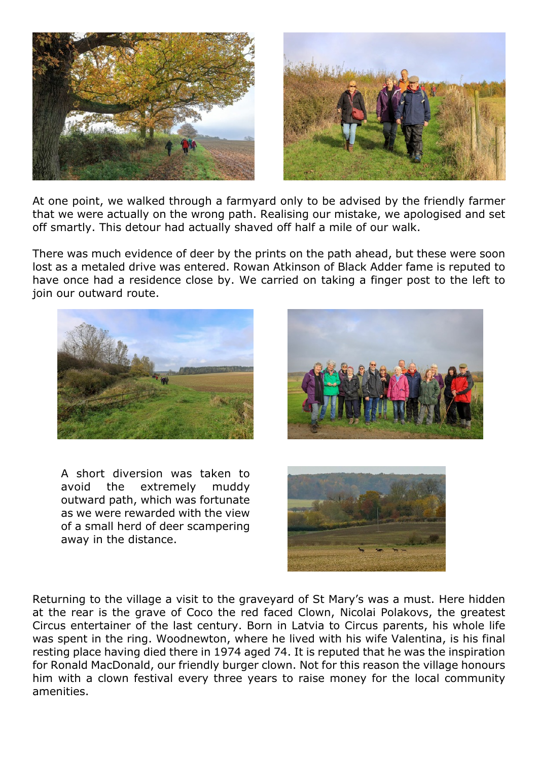

At one point, we walked through a farmyard only to be advised by the friendly farmer that we were actually on the wrong path. Realising our mistake, we apologised and set off smartly. This detour had actually shaved off half a mile of our walk.

There was much evidence of deer by the prints on the path ahead, but these were soon lost as a metaled drive was entered. Rowan Atkinson of Black Adder fame is reputed to have once had a residence close by. We carried on taking a finger post to the left to join our outward route.



A short diversion was taken to avoid the extremely muddy outward path, which was fortunate as we were rewarded with the view of a small herd of deer scampering away in the distance.





Returning to the village a visit to the graveyard of St Mary's was a must. Here hidden at the rear is the grave of Coco the red faced Clown, Nicolai Polakovs, the greatest Circus entertainer of the last century. Born in Latvia to Circus parents, his whole life was spent in the ring. Woodnewton, where he lived with his wife Valentina, is his final resting place having died there in 1974 aged 74. It is reputed that he was the inspiration for Ronald MacDonald, our friendly burger clown. Not for this reason the village honours him with a clown festival every three years to raise money for the local community amenities.